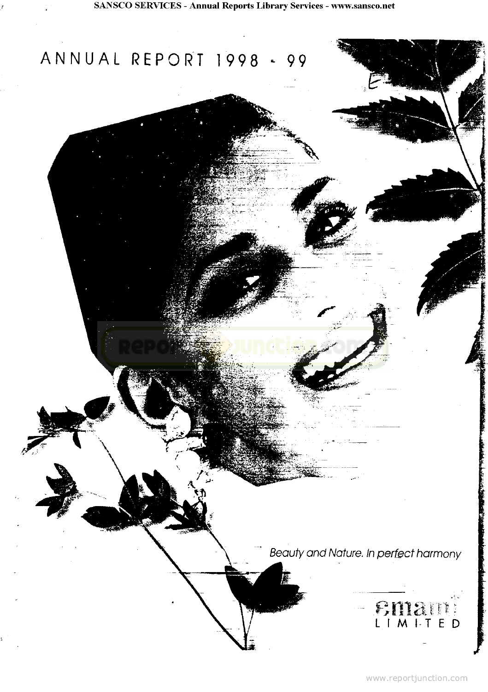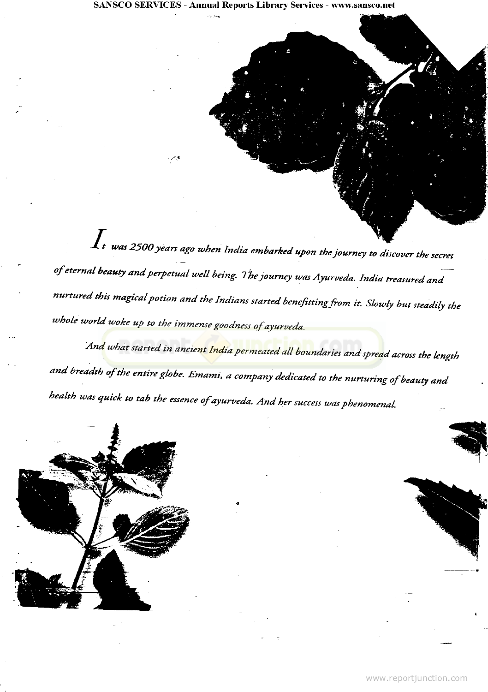•w *was 250O years ago when India embarked upon the journey to discover the secret of eternal beauty and perpetual well being. The journey was Ayurveda. India treasured and nurtured this magical potion and the Indians started benefittingfrom it. Slowly but steadily the* whole world woke up to the immense goodness of ayurveda.

*An[d what started in ancient India permeated all boundaries and spread](http://www.reportjunction.com) across the length and breadth of the entire globe. Emami, a company dedicated to the nurturing of beauty and health was quick to tab the essence ofayurveda. And her success was phenomenal.*

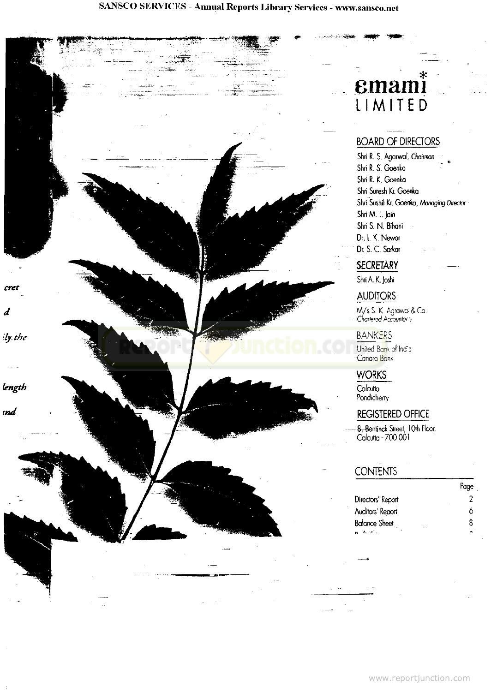cret

d

ily the

length

ınd

# emami LIMITE D

 $\overline{\mathcal{M}}$  .

## BOARD OF DIRECTORS

Shri R. S. Agarwal, Chairman Shri R. S. Goenka Shri R. K. Goenka Shri Suresh Kr. Goenka Shri Sushil Kr. Goenta, Managing Director ShriM. L.Jain Shri S. N. Bihani Dr. L. K. Newat Dr. S. C. Sorkar

## **SECRETARY**

ShriA.K.Joshi

#### AUDITORS

M/s S. K. Agrawo & Co. Chartered Accountar::

#### [BANKERS](http://www.reportjunction.com)

United Bank of India -Canora Bank

#### **WORKS**

**Calcutta Pondicherry** 

#### REGISTERED OFFICE

-<del>8, Be</del>ntinck Street, 10th Floor, Calcutta-700 001

## **CONTENTS**

|                      | таре |
|----------------------|------|
| Directors' Report    |      |
| Auditors' Report     | Λ    |
| <b>Balance Sheet</b> |      |
| en de la co          |      |

 $\mathbf{p}_i$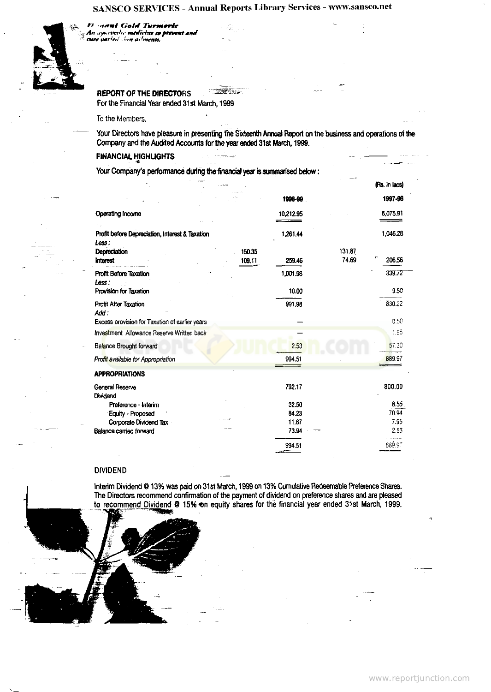

#### **REPORT OF THE DIRECTORS**

*H* nami Gold Turmeric

*mr tMrr'ffS* **•** *(-m aHmtntt. "* **•**

For the Financial Year ended 31st March, 1999

To the Members,

Your Directors have pleasure in presenting the Sixteenth Annual Report on the business and operations of the Company and the Audited Accounts for the year ended 31st March, 1999.

#### **FINANCIAL HIGHLIGHTS** -\_ C \_

Your Company's performance during the financial year is summarised below:

|                                                 |                  |           | (Rs. in lacs)                   |
|-------------------------------------------------|------------------|-----------|---------------------------------|
|                                                 |                  | 1996-99   | 1997-96                         |
| <b>Operating Income</b>                         |                  | 10,212.95 | 6,075.91                        |
| Profit before Depreciation, Interest & Taxation |                  | 1,261.44  | 1,046.28                        |
| Less :                                          |                  |           |                                 |
| Depreciation<br><b>Interest</b>                 | 150.35<br>109.11 | 259.46    | 131.87<br>ŗ,<br>74.69<br>206.56 |
| <b>Profit Before Taxation</b><br>Less:          |                  | 1,001.98  | 839.72                          |
| Provision for Taxation                          |                  | 10.00     | 9.50                            |
| <b>Profit After Taxation</b><br>Add:            |                  | 991.98    | 830.22                          |
| Excess provision for Taxation of earlier years  |                  |           | 0.50                            |
| Investment Allowance Reserve Written back       |                  |           | 1,95                            |
| <b>Balance Brought forward</b>                  |                  | 2.53      | 57.30                           |
| Profit available for Appropriation              |                  | 994.51    | 889.97                          |
| <b>APPROPRIATIONS</b>                           |                  |           |                                 |
| General Reserve<br>Dividend                     |                  | 792.17    | 800.00                          |
| Preference - Interim                            |                  | 32.50     | 8.55.                           |
| <b>Equity - Proposed</b>                        |                  | 84.23     | 70.94                           |
| Corporate Dividend Tax                          |                  | 11.67     | 7.95                            |
| Balance carried forward                         |                  | 73.94     | 2.53                            |
|                                                 |                  | 994.51    | 889.97                          |

#### **DIVIDEND**

Interim Dividend @ 13% was paid on 31st March, 1999 on 13% Cumulative Redeemable Preference Shares. The Directors recommend confirmation of the payment of dividend on preference shares and are pleased to recommend Dividend @ 15% on equity shares for the financial year ended 31st March, 1999.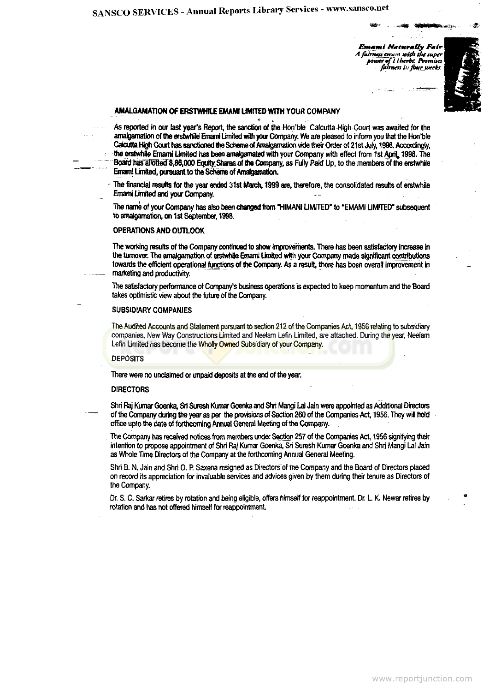*Emami Naturally Fair A fatnustcrrajn with the tuper* power of *I Iherbs*. Promuses fairness in four weeks.



## **AMALGAMATION OF ERSTWHILE EMAMI LIMITED WITH YOUR COMPANY<br>.**

As reported in our last year's Report, the sanction of the Hon'ble Calcutta High Court was awaited for the amalgamation of the erstwhile Emami Limited with your Company. We are pleased to inform you that the Hon'ble Calcutta High Court has sanctioned the Scheme of Amalgamation vide their Order of 21st July, 1996. Accordingly, the erstwhile Emami Limited has been amalgamated with your Company with effect from 1st April, 1998. The Board has allotted 8,86,000 Equity Shares of the Company, as Fully Paid Up, to the members of the erstwhile Emami Limited, pursuant to the Scheme of Amalgamation.

• The financial results for the year ended 31st March. 1999 are, therefore, the consolidated results of erstwhile Emami Umrted and your Company.

The name of your Company has also been changed from "HIMANI LIMITED" to "EMAMI LIMITED" subsequent to amalgamation, on 1st September, 1998.

#### OPERATIONS AND OUTLOOK

The working results of the Company continued to show improvements. There has been satisfactory increase in the turnover. The amalgamation of erstwhile Emami United with your Company made significant contributions towards the efficient operational functions of the Company. As a result, there has been overall improvement in marketing and productivity.

The satisfactory performance of Company's business operations is expected to keep momentum and the Board takes optimistic view about the future of the Company.

#### SUBSIDIARY COMPANIES

[The Audited Accounts and Statement pursuant to section 212 of the Companies Act, 1956 relating to](http://www.reportjunction.com) subsidiary companies, New Way Constructions Limited and Neelam Lefin Limited, are attached. During the year, Neelam Lefin Limited has become the Wholly Owned Subsidiary of your Company.

#### **DEPOSITS**

There were no unclaimed or unpaid deposits at the end of the year.

#### DIRECTORS

Shri Raj Kumar Goenka, Sri Suresh Kumar Goenka and Shri Mangi Lai Jain were appointed as Additional Directors of the Company during the year as per the provisions of Section 260 of the Companies Act, 1956. They will hold office upto the date of forthcoming Annual General Meeting of the Company.

The Company has received notices from members under Section 257 of the Companies Act, 1956 signifying their intention to propose appointment of Shri Raj Kumar Goenka, Sri Suresh Kumar Goenka and Shri Mangi Lai Jain as Whole Time Directors of the Company at the forthcoming Annual General Meeting.

Shri B. N. Jain and Shri O. P. Saxena resigned as Directors of the Company and the Board of Directors placed on record its appreciation for invaluable services and advices given by them during their tenure as Directors of the Company.

Dr. S. C. Sarkar retires by rotation and being eligible, offers himself for reappointment. Dr, L. K. Newar retires by rotation and has not offered himself for reappointment.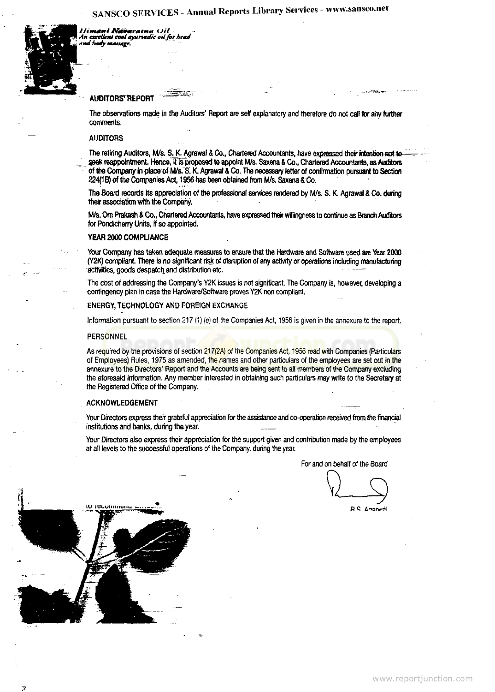limani i arama (Jil *An aettUent toot ayurvedic oil for he\*d it* **W** *^Mfy. HtMUtge.*



#### **AUDITORS' REPORT**

The observations made in the Auditors' Report are self explanatory and therefore do not call **for** any further comments.

#### AUDITORS

The retiring Auditors, M/s. S. K. Agrawal & Co., Chartered Accountants, have expressed their intention not to seek reappointment. Hence, it is proposed to appoint M/s, Saxena & Co., Chartered Accountants, as Auditors of the Company in place of M/s. S. K. Agrawal & Co. The necessary letter of confirmation pursuant to Section 224(1 B) of the Companies Act, 1956 has been obtained from M/s. Saxena & Co.

The Board records its appreciation of the professional services rendered by M/s. S. K. Agrawal & Co. during their association with the Company.

M/s. Om Prakash & Co., Chartered Accountants, have expressed their willingness to continue as Branch Auditors for Pondicherry Units, if so appointed.

#### YEAR 2000 COMPLIANCE

Your Company has taken adequate measures to ensure that the Hardware and Software used are Year 2000 (Y2K) compliant. There is no significant risk of disruption of any activity or operations including manufacturing activities, goods despatch and distribution etc. —

The cost of addressing the Company's Y2K issues is not significant. The Company is, however, developing a contingency plan in case the Hardware/Software proves Y2K non compliant.

#### ENERGY, TECHNOLOGY AND FOREIGN EXCHANGE

Information pursuant to section 217 (1) (e) of the Companies Act, 1956 is given in the annexure to the report.

#### **PERSONNEL**

As r[equired by the provisions of section 217\(2A\) of the Companies Act, 1956 read with Companies \(Particula](http://www.reportjunction.com)rs of Employees) Rules, 1975 as amended, the names and other particulars of the employees are set out in the annexure to the Directors' Report and the Accounts are being sent to all members of the Company excluding the aforesaid information. Any member interested in obtaining such particulars may write to the Secretary at the Registered Office of the Company.

#### ACKNOWLEDGEMENT

Your Directors express their grateful appreciation for the assistance and co-operation received from the financial institutions and banks, during theyear.

Your Directors also express their appreciation for the support given and contribution made by the employees at all levels to the successful operations of the Company, during the year.

For and on behalf of the Board

**D.S. Anonuál**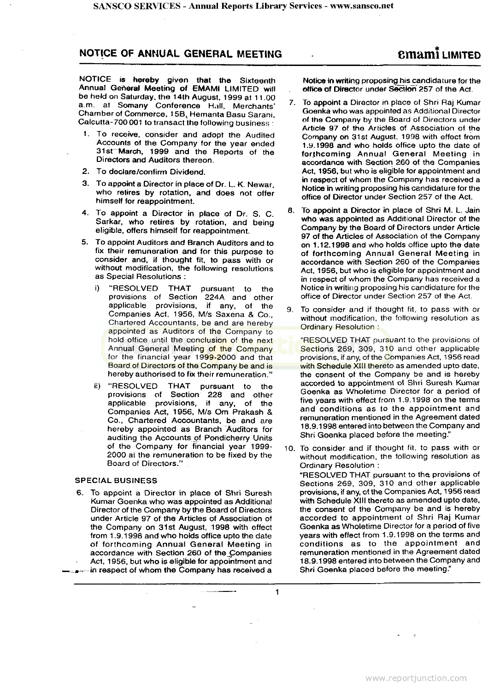#### NOTICE OF ANNUAL GENERAL MEETING **cm ami** LIMITED

**NOTICE is hereby given that the Sixteenth Annual Genera) Meeting of EMAMI LIMITED will be held on Saturday, the 14th August, 1999 at 11.00 a.m. at Somany Conference Hall, Merchants' Chamber of Commerce, 15BV Hemanta Basu Sarani, Calcutta-700001 to transact the following business :**

- **1. To receive, consider and adopt the Audited Accounts of the Company for the year ended 31st~March, 1999 and the Reports of the Directors and Auditors thereon.**
- **2. To declare/confirm Dividend.**
- 3. To appoint a Director in place of Dr. L. K. Newar, who retires by rotation, and does not offer himself for reappointment.
- 4. To appoint a Director in place of Dr. S. C. Sarkar, who retires by rotation, and being eligible, offers himself for reappointment.
- 5. To appoint Auditors and Branch Auditors and to fix their remuneration and for this purpose to consider and, if thought fit, to pass with or without modification, the following resolutions as Special Resolutions :
	- i) "RESOLVED THAT pursuant to the provisions of Section 224A and other applicable provisions, if any, of the Companies Act, 1956, M/s Saxena & Co., Chartered Accountants, be and are hereby [appointed as Auditors of the Company to](http://www.reportjunction.com) hold office until the conclusion of the next Annual General Meeting of the Company for the financial year 1999-2000 and that Board of Directors of the Company be and is hereby authorised to fix their remuneration."
	- ii) "RESOLVED THAT pursuant to the provisions of Section 228 and other applicable provisions, if any, of the Companies Act, 1956, M/s Om Prakash & Co., Chartered Accountants, be and are hereby appointed as Branch "Auditors for auditing the Accounts of Pondicherry Units of the Company for financial year 1999- 2000 at the remuneration to be fixed by the Board of Directors."

#### **SPECIAL BUSINESS**

6. To appoint a Director in place of Shri Suresh Kumar Goenka who was appointed as Additional Director of the Company by the Board of Directors under Article 97 of the Articles of Association of the Company on 31st August, 1998 with effect from 1.9.1998 and who holds office upto the date of forthcoming Annual General Meeting in accordance with Section 260 of the\_Companies Act, 1956, but who is eligible for appointment and

»^-in respect of whom the Company has received a

1

**Notice in writing proposing his candidature for the office of Director under Section 257 of the Act.**

- 7. To appoint a Director in place of Shri Raj Kumar Goenka who was appointed as Additional Director of the Company by the Board of Directors under Article 97 of the Articles of Association of the Company on 31st August, 1998 with effect from 1.9.1998 and who holds office upto the date of forthcoming Annual General Meeting in accordance with Section 260 of the Companies Act, 1956. but who is eligible for appointment and in respect of whom the Company has received a Notice in writing proposing his candidature for the office of Director under Section 257 of the Act.
- 8. To appoint a Director in place of Shri M. L. Jain who was appointed as Additional Director of the Company by the Board of Directors under Article 97 of the Articles of Association of the Company on 1.12.1998 and who holds office upto the date of forthcoming Annual General Meeting in accordance with Section 260 of the Companies Act, 1956, but who is eligible for appointment and in respect of whom the Company has received a Notice in writing proposing his candidature for the office of Director under Section 257 of the Act.
- 9. To consider and if thought fit, to pass with or without modification, the following resolution as Ordinary Resolution :

"RESOLVED THAT pursuant to the provisions of Sections 269, 309, 310 and other applicable provisions, if any, of the Companies Act, 1956 read with Schedule XIII thereto as amended upto date, the consent of the Company be and is hereby accorded to appointment of Shri Suresh Kumar Goenka as Wholetime Director for a period of five years with effect from 1.9.1998 on the terms and conditions as to the appointment and remuneration mentioned in the Agreement dated 18.9.1998 entered into between the Company and Shri Goenka placed before the meeting."

10. To consider and if thought fit, to pass with or without modification, the following resolution as Ordinary Resolution : "RESOLVED THAT pursuant to the, provisions of Sections 269, 309, 310 and other applicable provisions, if any, of the Companies Act, 1956 read with Schedule XIII thereto as amended upto date, the consent of the Company be and is hereby accorded to appointment of Shri Raj Kumar Goenka as Wholetime Director for a period of five years with effect from 1.9.1998 on the terms and conditions as to the appointment and remuneration mentioned in the Agreement dated 18.9.1998 entered into between the Company and Shri Goenka placed before the meeting."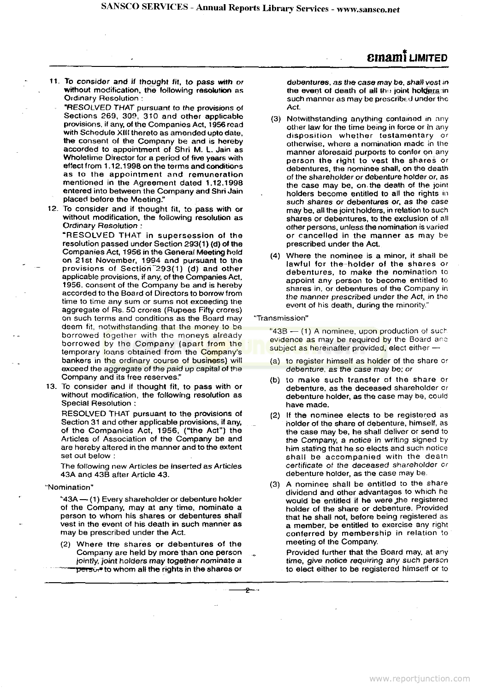### **cmanti** LIMITED

- 11. To consider and if thought fit, to pass with or without modification, the following resolution as Ordinary Resolution :
- "RESOLVED THAT pursuant to the provisions of Sections 269, 309, 310 and other applicable provisions, if any, of the Companies Act, 1956 read with Schedule XIII thereto as amended upto date, the consent of the Company be and is hereby accorded to appointment of Shri M. L, Jain as Whotetime Director for a period of five years with effect from 1.12.1998 on the terms and conditions as to the appointment and remuneration mentioned in the Agreement dated 1.12.1998 entered into between the Company and Shri Jain placed before the Meeting."
- 12. To consider and if thought fit, to pass with or without modification, the following resolution as Ordinary Resolution :

"RESOLVED THAT in supersession of the resolution passed under Section 293(1) (d) of the Companies Act, 1956 in the General Meeting hold on 21st November, 1994 and pursuant to the provisions of Section<sup>-293</sup>(1) (d) and other applicable provisions, if any, of the Companies Act, 1956, consent of the Company be and is hereby accorded to the Board of Directors to borrow from time to time any sum or sums not exceeding the aggregate of Rs. 50 crores {Rupees Fifty crores) on such terms and conditions as the Board may deem fit, notwithstanding that the money to be borrowed together with the moneys already borrowed by the Company (apart from the temporary loans obtained from the Company's bankers i[n the ordinary course of business\) will](http://www.reportjunction.com) exceed the aggregate of the paid up capital of the Company and its free reserves."

13. To consider and if thought fit, to pass with or without modification, the following resolution as Special Resolution :

RESOLVED THAT pursuant to the provisions of Section 31 and other applicable provisions, if any, of the Companies Act, 1956, ("the Act") the Articles of Association of the Company be and are hereby altered in the manner and to the extent set out below ;

The following new Articles be inserted as Articles 43A and 43B after Article 43.

"Nomination"

"43A - (1) Every shareholder or debenture holder of the Company, may at any time, nominate a person to whom his shares or debentures shall vest in the event of his death in such manner as may be prescribed under the Act.

(2) Where tire shares or debentures of the Company are held by more than one person jointly, joint holders may together nominate a  $\overline{\mathbf{p}}$ ers $\overline{\mathbf{g}}$  to whom all the rights in the shares or debentures, as the case may be, shall vest in the event of death of all the joint holders in such manner as may be prescribed under the Act.

- (3) Notwithstanding anything contained in any other law for the time being in force or in any disposition whether testamentary or otherwise, where a nomination made in the manner aforesaid purports to confer on any person the right to vest the shares or debentures, the nominee shall, on the death of the shareholder or debenture holder or, as the case may be, on. the death of the joint holders become entitled to all the rights in such shares or debentures or, as the case may be, all the joint holders, in relation to such shares or debentures, to the exclusion of all other persons, unless the nomination is varied or cancelled in the manner as may be prescribed under the Act.
- (4) Where the nominee is a minor, it shall be lawful for the-holder of the shares or debentures, to make the nomination to appoint any person to become entitled to shares in, or debentures of the Company in the manner prescribed under the Act, in the event of his death, during the minority."

#### "Transmission"

"43B - (1) A nominee, upon production of such evidence as may be required by the Board and subject as hereinafter provided, elect either -

- (a) to register himself as holder of the share or debenture, as the case may be; or
- (b) to make such transfer of the share or debenture, as the deceased shareholder or debenture holder, as the case may be, could have made.
- (2) If the nominee elects to be registered as holder of the share of debenture, himself, as the case may be, he shall deliver or send to the Company, a notice in writing signed by him stating that he so elects and such notice shall be accompanied with the death certificate of the deceased shareholder or debenture holder, as the case may be.
- (3) A nominee shall be entitled to the share dividend and other advantages to which he would be entitled if he were the registered holder of the share or debenture. Provided that he shall not, before being registered as a member, be entitled to exercise any right conferred by membership in relation to meeting of the Company.

Provided further that the Board may, at any time, give notice requiring any such person to elect either to be registered himself or to

لتستوت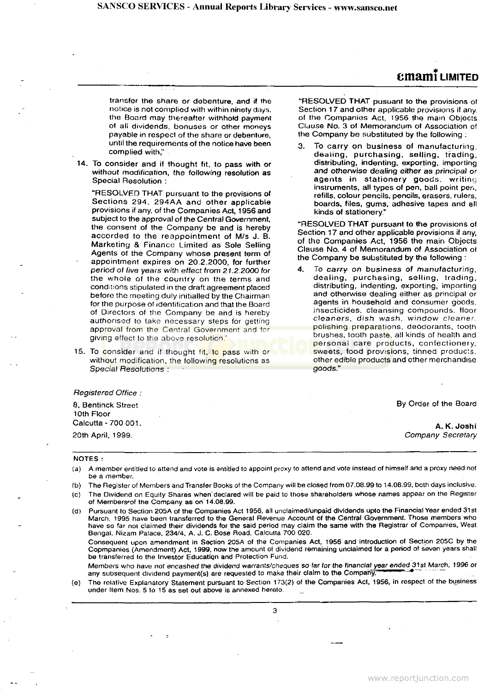## **cmami** LIMITED

transfer the share or debenture, and if the notice is not complied with within ninety days, the Board may thereafter withhold payment of all dividends, bonuses or other moneys payable in respecl of the share or debenture, until the requirements of the notice have been complied with,"

14. To consider and if thought fit, to pass with or without modification, the following resolution as Special Resolution :

"RESOLVED THAT pursuant to the provisions of Sections 294, 294AA and other applicable provisions if any, of the Companies Act, 1956 and subject to the approval of the Central Government, the consent of the Company be and is hereby accorded to the reappointment of M/s J. B. Marketing & Finance Limited as Sole Selling Agents of the Company whose present term of appointment expires on 20.2.2000, for further period of five years with effect from 21.2.2000 for the whole of the country on the terms and conditions stipulated in the draft agreement p!aced before the meeting duly initialled by the Chairman for the purpose of identification and that the Board of Directors of the Company be and is hereby authorised to take necessary steps for getting approval from the Central Government and for giving effect to the above resolution."

15. To consider and if thought fit, to pass with or wi[thout modification, the following resolutions as](http://www.reportjunction.com) Special Resolutions :

"RESOLVED THAT pusuant to the provisions of Section 17 and other applicable provisions if any. of the Companies Act, t956 the mam Objects Clause No. 3 of Memorandum of Association of the Company be substituted by the following ;

To carry on business of manufacturing, dealing, purchasing, selling, trading, distributing, indenting, exporting, importing and otherwise dealing either as principal or agents in stationery goods, writing instruments, all types of pen, ball point pen. refills, colour pencils, pencils, erasers, rulers, boards, files, gums, adhesive tapes and all kinds of stationery."

"RESOLVED THAT pursuant to the provisions of Section 17 and other applicable provisions if any, of the Companies Act, 1956 the main Objects Clause No. 4 of Memorandum of Association of the Company be substituted by the following :

To carry on business of manufacturing, dealing, purchasing, selling, trading, distributing, indenting, exporting, importing and otherwise dealing either as principal or agents in household and consumer goods, insecticides, cleansing compounds, floor cleaners, dish wash, window cleaner. polishing preparations, deodorants, tooth brushes, tooth paste, all kinds of health and personal care products, confectionery, sweets, food provisions, tinned products. other edible products and other merchandise goods."

#### Registered Office :

8, Bentinck Street 10th Floor Calcutta-700 001. 20th April, 1999.

By Order of the Board

**A. K. Joshi** Company Secretary

#### **NOTES:**

- (a) A member entitled to attend and vote is entitled to appoint proxy to attend and vote instead of himself and a proxy need not be a member.
- (b) The Register of Members and Transfer Books of the Company will be closed from 07.08.99 to 14.08.99, both days inclusive. (c) The Dividend on Equity Shares when'declared will be paid to those shareholders whose names appear on the Register of Members of the Company as on 14.08.99.
- (d) Pursuant to Section 205A of the Companies Act 1956. all unclaimed/unpaid dividends upto the Financial Year ended 31st March, 1995 have been transferred to the General Revenue Account of the Central Government. Those members who have so far not claimed their dividends for the said period may claim the same with the Registrar of Companies, West Bengal. Nizam Palace, 234/4, A. J. C. Bose Road, Calcutta 700 020.

Consequent upon amendment in Section 205A of the Companies Act, 1956 and introduction of Section 205C by the Copmpanies (Amendment) Act, 1999, now the amount of dividend remaining unclaimed for a period of seven years shall be transferred to the Investor Education and Protection Fund.

Members who have not encashed the dividend warrants/cheques so far for the financial year ended 31st March, 1996 or any subsequent dividend payment(s) are requested to make their claim to the Company

(e) The relative Explanatory Statement pursuant to Section 173(2) of the Companies Act, 1956, in respect of the business under Item Nos. 5 to 15 as set out above is annexed hereto